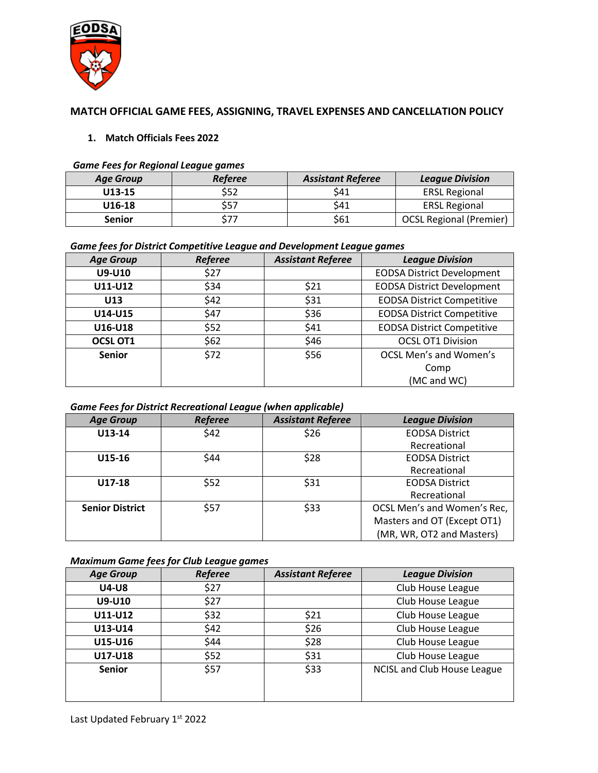

# **MATCH OFFICIAL GAME FEES, ASSIGNING, TRAVEL EXPENSES AND CANCELLATION POLICY**

## **1. Match Officials Fees 2022**

## *Game Fees for Regional League games*

| <b>Age Group</b> | <b>Referee</b> | <b>Assistant Referee</b> | <b>League Division</b>         |
|------------------|----------------|--------------------------|--------------------------------|
| U13-15           | \$52           | \$41                     | <b>ERSL Regional</b>           |
| U16-18           |                | \$41                     | <b>ERSL Regional</b>           |
| <b>Senior</b>    |                | \$61                     | <b>OCSL Regional (Premier)</b> |

# *Game fees for District Competitive League and Development League games*

| <b>Age Group</b> | <b>Referee</b> | <b>Assistant Referee</b> | <b>League Division</b>            |  |  |  |  |  |  |  |
|------------------|----------------|--------------------------|-----------------------------------|--|--|--|--|--|--|--|
| U9-U10           | \$27           |                          | <b>EODSA District Development</b> |  |  |  |  |  |  |  |
| U11-U12          | \$34           | \$21                     | <b>EODSA District Development</b> |  |  |  |  |  |  |  |
| U13              | \$42           | \$31                     | <b>EODSA District Competitive</b> |  |  |  |  |  |  |  |
| U14-U15          | \$47           | \$36                     | <b>EODSA District Competitive</b> |  |  |  |  |  |  |  |
| U16-U18          | \$52           | \$41                     | <b>EODSA District Competitive</b> |  |  |  |  |  |  |  |
| OCSL OT1         | \$62           | \$46                     | <b>OCSL OT1 Division</b>          |  |  |  |  |  |  |  |
| <b>Senior</b>    | \$72           | \$56                     | <b>OCSL Men's and Women's</b>     |  |  |  |  |  |  |  |
|                  |                |                          | Comp                              |  |  |  |  |  |  |  |
|                  |                |                          | (MC and WC)                       |  |  |  |  |  |  |  |

# *Game Fees for District Recreational League (when applicable)*

| <b>Age Group</b>       | <b>Referee</b> | <b>Assistant Referee</b> | <b>League Division</b>      |
|------------------------|----------------|--------------------------|-----------------------------|
| U13-14                 | \$42           | \$26                     | <b>EODSA District</b>       |
|                        |                |                          | Recreational                |
| U15-16                 | \$44           | \$28                     | <b>EODSA District</b>       |
|                        |                |                          | Recreational                |
| U17-18                 | \$52           | \$31                     | <b>EODSA District</b>       |
|                        |                |                          | Recreational                |
| <b>Senior District</b> | \$57           | \$33                     | OCSL Men's and Women's Rec, |
|                        |                |                          | Masters and OT (Except OT1) |
|                        |                |                          | (MR, WR, OT2 and Masters)   |

# *Maximum Game fees for Club League games*

| <b>Age Group</b> | Referee | <b>Assistant Referee</b> | <b>League Division</b>      |
|------------------|---------|--------------------------|-----------------------------|
| <b>U4-U8</b>     | \$27    |                          | Club House League           |
| U9-U10           | \$27    |                          | Club House League           |
| U11-U12          | \$32    | \$21                     | Club House League           |
| U13-U14          | \$42    | \$26                     | Club House League           |
| U15-U16          | \$44    | \$28                     | Club House League           |
| U17-U18          | \$52    | \$31                     | Club House League           |
| <b>Senior</b>    | \$57    | \$33                     | NCISL and Club House League |
|                  |         |                          |                             |
|                  |         |                          |                             |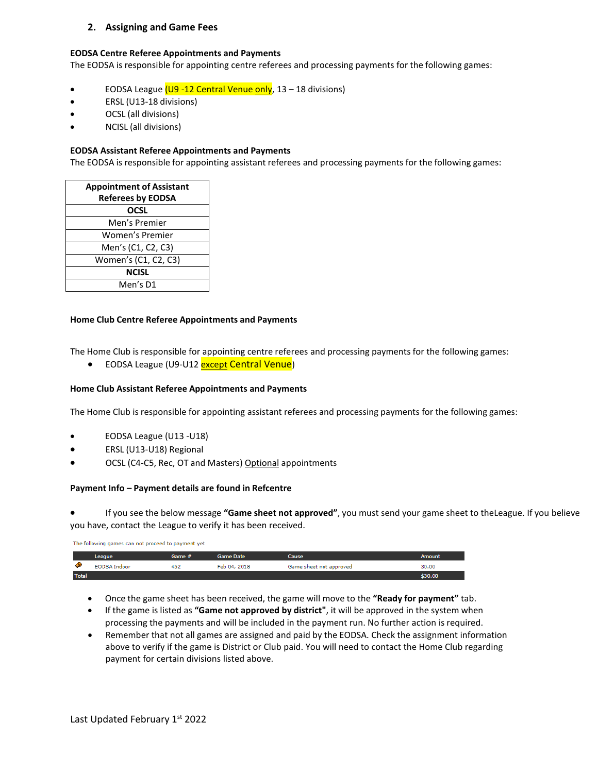## **2. Assigning and Game Fees**

#### **EODSA Centre Referee Appointments and Payments**

The EODSA is responsible for appointing centre referees and processing payments for the following games:

- EODSA League (U9 -12 Central Venue only, 13 18 divisions)
- ERSL (U13-18 divisions)
- OCSL (all divisions)
- NCISL (all divisions)

## **EODSA Assistant Referee Appointments and Payments**

The EODSA is responsible for appointing assistant referees and processing payments for the following games:

| <b>Appointment of Assistant</b><br><b>Referees by EODSA</b> |
|-------------------------------------------------------------|
| OCSL                                                        |
| Men's Premier                                               |
| <b>Women's Premier</b>                                      |
| Men's (C1, C2, C3)                                          |
| Women's (C1, C2, C3)                                        |
| <b>NCISL</b>                                                |
| Men's D1                                                    |

### **Home Club Centre Referee Appointments and Payments**

The Home Club is responsible for appointing centre referees and processing payments for the following games:

• EODSA League (U9-U12 **except Central Venue**)

#### **Home Club Assistant Referee Appointments and Payments**

The Home Club is responsible for appointing assistant referees and processing payments for the following games:

- EODSA League (U13 -U18)
- ERSL (U13-U18) Regional
- OCSL (C4-C5, Rec, OT and Masters) Optional appointments

#### **Payment Info – Payment details are found in Refcentre**

• If you see the below message **"Game sheet not approved"**, you must send your game sheet to theLeague. If you believe you have, contact the League to verify it has been received.

The following games can not proceed to payment yet

|              | League              | Game # | Game Date    | <b>Cause</b>            | Amount  |
|--------------|---------------------|--------|--------------|-------------------------|---------|
| ۰            | <b>EODSA Indoor</b> | 452    | Feb 04, 2018 | Game sheet not approved | 30.00   |
| <b>Total</b> |                     |        |              |                         | \$30.00 |

- Once the game sheet has been received, the game will move to the **"Ready for payment"** tab.
- If the game is listed as **"Game not approved by district"**, it will be approved in the system when processing the payments and will be included in the payment run. No further action is required.
- Remember that not all games are assigned and paid by the EODSA. Check the assignment information above to verify if the game is District or Club paid. You will need to contact the Home Club regarding payment for certain divisions listed above.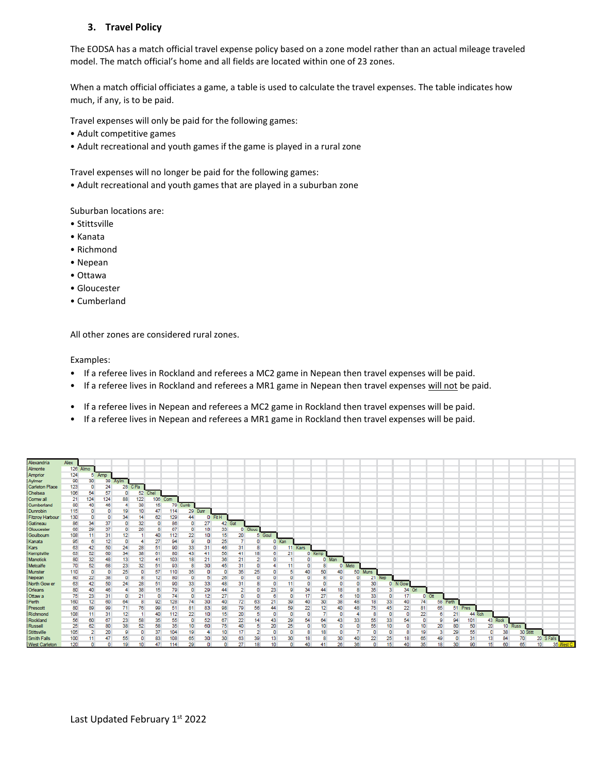# **3. Travel Policy**

The EODSA has a match official travel expense policy based on a zone model rather than an actual mileage traveled model. The match official's home and all fields are located within one of 23 zones.

When a match official officiates a game, a table is used to calculate the travel expenses. The table indicates how much, if any, is to be paid.

Travel expenses will only be paid for the following games:

- Adult competitive games
- Adult recreational and youth games if the game is played in a rural zone

Travel expenses will no longer be paid for the following games:

• Adult recreational and youth games that are played in a suburban zone

Suburban locations are:

- Stittsville
- Kanata
- Richmond
- Nepean
- Ottawa
- Gloucester
- Cumberland

All other zones are considered rural zones.

Examples:

- If a referee lives in Rockland and referees a MC2 game in Nepean then travel expenses will be paid.
- If a referee lives in Rockland and referees a MR1 game in Nepean then travel expenses will not be paid.
- If a referee lives in Nepean and referees a MC2 game in Rockland then travel expenses will be paid.
- If a referee lives in Nepean and referees a MR1 game in Rockland then travel expenses will be paid.